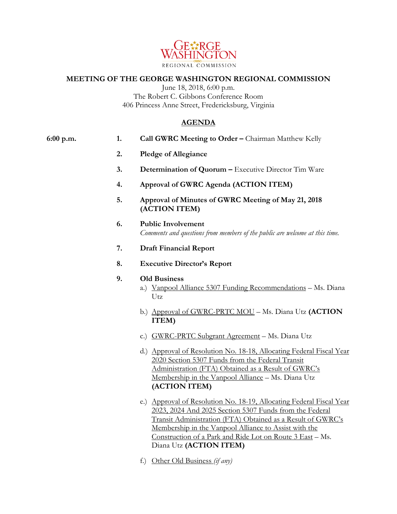

## **MEETING OF THE GEORGE WASHINGTON REGIONAL COMMISSION**

June 18, 2018, 6:00 p.m. The Robert C. Gibbons Conference Room 406 Princess Anne Street, Fredericksburg, Virginia

## **AGENDA**

| 6:00 p.m. | 1. | Call GWRC Meeting to Order - Chairman Matthew Kelly                                                                                                                                                                                                                                                                  |
|-----------|----|----------------------------------------------------------------------------------------------------------------------------------------------------------------------------------------------------------------------------------------------------------------------------------------------------------------------|
|           | 2. | <b>Pledge of Allegiance</b>                                                                                                                                                                                                                                                                                          |
|           | 3. | Determination of Quorum - Executive Director Tim Ware                                                                                                                                                                                                                                                                |
|           | 4. | Approval of GWRC Agenda (ACTION ITEM)                                                                                                                                                                                                                                                                                |
|           | 5. | Approval of Minutes of GWRC Meeting of May 21, 2018<br>(ACTION ITEM)                                                                                                                                                                                                                                                 |
|           | 6. | <b>Public Involvement</b><br>Comments and questions from members of the public are welcome at this time.                                                                                                                                                                                                             |
|           | 7. | <b>Draft Financial Report</b>                                                                                                                                                                                                                                                                                        |
|           | 8. | <b>Executive Director's Report</b>                                                                                                                                                                                                                                                                                   |
|           | 9. | <b>Old Business</b><br>a.) Vanpool Alliance 5307 Funding Recommendations - Ms. Diana<br>Utz                                                                                                                                                                                                                          |
|           |    | b.) Approval of GWRC-PRTC MOU - Ms. Diana Utz (ACTION<br>ITEM)                                                                                                                                                                                                                                                       |
|           |    | c.) GWRC-PRTC Subgrant Agreement - Ms. Diana Utz                                                                                                                                                                                                                                                                     |
|           |    | d.) Approval of Resolution No. 18-18, Allocating Federal Fiscal Year<br>2020 Section 5307 Funds from the Federal Transit<br>Administration (FTA) Obtained as a Result of GWRC's<br>Membership in the Vanpool Alliance - Ms. Diana Utz<br>(ACTION ITEM)                                                               |
|           |    | e.) Approval of Resolution No. 18-19, Allocating Federal Fiscal Year<br>2023, 2024 And 2025 Section 5307 Funds from the Federal<br>Transit Administration (FTA) Obtained as a Result of GWRC's<br>Membership in the Vanpool Alliance to Assist with the<br>Construction of a Park and Ride Lot on Route 3 East - Ms. |

f.) Other Old Business *(if any)*

Diana Utz **(ACTION ITEM)**